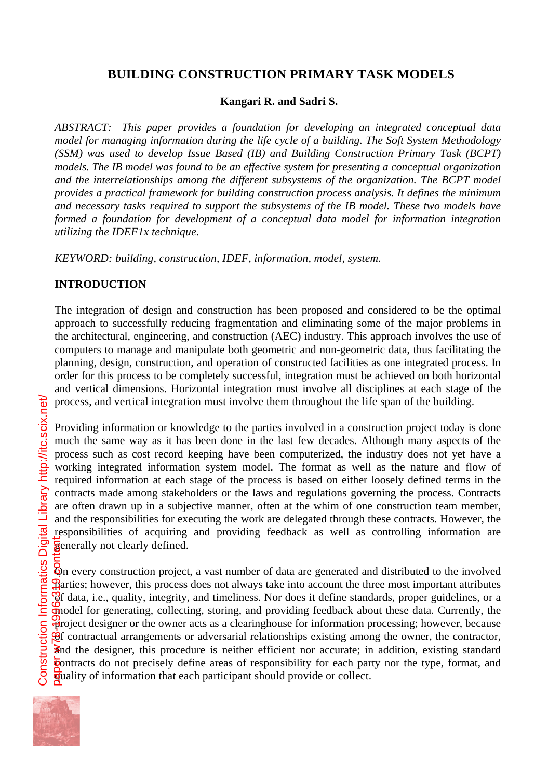# **BUILDING CONSTRUCTION PRIMARY TASK MODELS**

## **Kangari R. and Sadri S.**

*ABSTRACT: This paper provides a foundation for developing an integrated conceptual data model for managing information during the life cycle of a building. The Soft System Methodology (SSM) was used to develop Issue Based (IB) and Building Construction Primary Task (BCPT) models. The IB model was found to be an effective system for presenting a conceptual organization and the interrelationships among the different subsystems of the organization. The BCPT model provides a practical framework for building construction process analysis. It defines the minimum and necessary tasks required to support the subsystems of the IB model. These two models have formed a foundation for development of a conceptual data model for information integration utilizing the IDEF1x technique.*

*KEYWORD: building, construction, IDEF, information, model, system.*

## **INTRODUCTION**

The integration of design and construction has been proposed and considered to be the optimal approach to successfully reducing fragmentation and eliminating some of the major problems in the architectural, engineering, and construction (AEC) industry. This approach involves the use of computers to manage and manipulate both geometric and non-geometric data, thus facilitating the planning, design, construction, and operation of constructed facilities as one integrated process. In order for this process to be completely successful, integration must be achieved on both horizontal and vertical dimensions. Horizontal integration must involve all disciplines at each stage of the process, and vertical integration must involve them throughout the life span of the building.

Providing information or knowledge to the parties involved in a construction project today is done much the same way as it has been done in the last few decades. Although many aspects of the process such as cost record keeping have been computerized, the industry does not yet have a working integrated information system model. The format as well as the nature and flow of required information at each stage of the process is based on either loosely defined terms in the contracts made among stakeholders or the laws and regulations governing the process. Contracts are often drawn up in a subjective manner, often at the whim of one construction team member, and the responsibilities for executing the work are delegated through these contracts. However, the responsibilities of acquiring and providing feedback as well as controlling information are **g**enerally not clearly defined.

On every construction project, a vast number of data are generated and distributed to the involved  $\mathcal{B}$ arties; however, this process does not always take into account the three most important attributes  $\overline{6}f$  data, i.e., quality, integrity, and timeliness. Nor does it define standards, proper guidelines, or a model for generating, collecting, storing, and providing feedback about these data. Currently, the project designer or the owner acts as a clearinghouse for information processing; however, because  $\mathcal{G}$  contractual arrangements or adversarial relationships existing among the owner, the contractor, and the designer, this procedure is neither efficient nor accurate; in addition, existing standard contracts do not precisely define areas of responsibility for each party nor the type, format, and guality of information that each participant should provide or collect. paper w78-1996-319.content

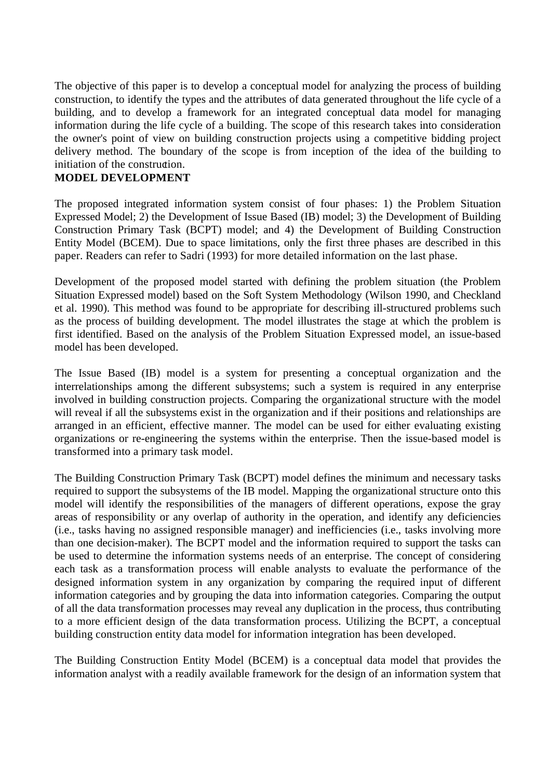The objective of this paper is to develop a conceptual model for analyzing the process of building construction, to identify the types and the attributes of data generated throughout the life cycle of a building, and to develop a framework for an integrated conceptual data model for managing information during the life cycle of a building. The scope of this research takes into consideration the owner's point of view on building construction projects using a competitive bidding project delivery method. The boundary of the scope is from inception of the idea of the building to initiation of the construction.

### **MODEL DEVELOPMENT**

The proposed integrated information system consist of four phases: 1) the Problem Situation Expressed Model; 2) the Development of Issue Based (IB) model; 3) the Development of Building Construction Primary Task (BCPT) model; and 4) the Development of Building Construction Entity Model (BCEM). Due to space limitations, only the first three phases are described in this paper. Readers can refer to Sadri (1993) for more detailed information on the last phase.

Development of the proposed model started with defining the problem situation (the Problem Situation Expressed model) based on the Soft System Methodology (Wilson 1990, and Checkland et al. 1990). This method was found to be appropriate for describing ill-structured problems such as the process of building development. The model illustrates the stage at which the problem is first identified. Based on the analysis of the Problem Situation Expressed model, an issue-based model has been developed.

The Issue Based (IB) model is a system for presenting a conceptual organization and the interrelationships among the different subsystems; such a system is required in any enterprise involved in building construction projects. Comparing the organizational structure with the model will reveal if all the subsystems exist in the organization and if their positions and relationships are arranged in an efficient, effective manner. The model can be used for either evaluating existing organizations or re-engineering the systems within the enterprise. Then the issue-based model is transformed into a primary task model.

The Building Construction Primary Task (BCPT) model defines the minimum and necessary tasks required to support the subsystems of the IB model. Mapping the organizational structure onto this model will identify the responsibilities of the managers of different operations, expose the gray areas of responsibility or any overlap of authority in the operation, and identify any deficiencies (i.e., tasks having no assigned responsible manager) and inefficiencies (i.e., tasks involving more than one decision-maker). The BCPT model and the information required to support the tasks can be used to determine the information systems needs of an enterprise. The concept of considering each task as a transformation process will enable analysts to evaluate the performance of the designed information system in any organization by comparing the required input of different information categories and by grouping the data into information categories. Comparing the output of all the data transformation processes may reveal any duplication in the process, thus contributing to a more efficient design of the data transformation process. Utilizing the BCPT, a conceptual building construction entity data model for information integration has been developed.

The Building Construction Entity Model (BCEM) is a conceptual data model that provides the information analyst with a readily available framework for the design of an information system that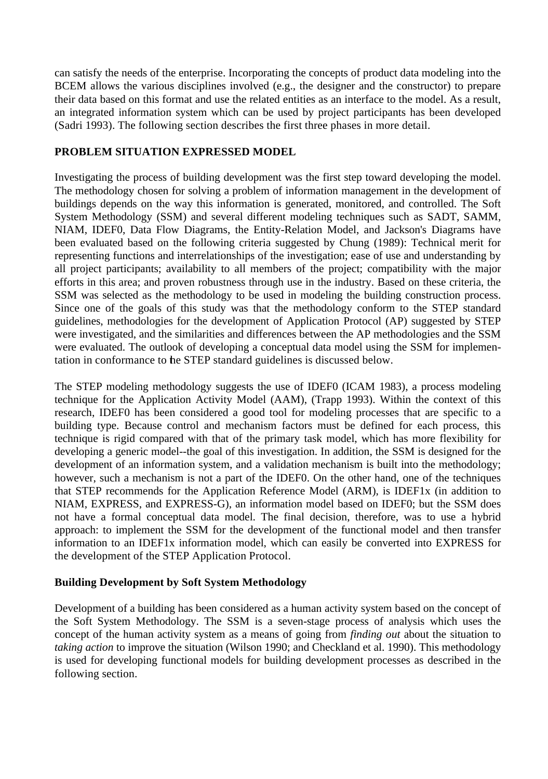can satisfy the needs of the enterprise. Incorporating the concepts of product data modeling into the BCEM allows the various disciplines involved (e.g., the designer and the constructor) to prepare their data based on this format and use the related entities as an interface to the model. As a result, an integrated information system which can be used by project participants has been developed (Sadri 1993). The following section describes the first three phases in more detail.

#### **PROBLEM SITUATION EXPRESSED MODEL**

Investigating the process of building development was the first step toward developing the model. The methodology chosen for solving a problem of information management in the development of buildings depends on the way this information is generated, monitored, and controlled. The Soft System Methodology (SSM) and several different modeling techniques such as SADT, SAMM, NIAM, IDEF0, Data Flow Diagrams, the Entity-Relation Model, and Jackson's Diagrams have been evaluated based on the following criteria suggested by Chung (1989): Technical merit for representing functions and interrelationships of the investigation; ease of use and understanding by all project participants; availability to all members of the project; compatibility with the major efforts in this area; and proven robustness through use in the industry. Based on these criteria, the SSM was selected as the methodology to be used in modeling the building construction process. Since one of the goals of this study was that the methodology conform to the STEP standard guidelines, methodologies for the development of Application Protocol (AP) suggested by STEP were investigated, and the similarities and differences between the AP methodologies and the SSM were evaluated. The outlook of developing a conceptual data model using the SSM for implementation in conformance to the STEP standard guidelines is discussed below.

The STEP modeling methodology suggests the use of IDEF0 (ICAM 1983), a process modeling technique for the Application Activity Model (AAM), (Trapp 1993). Within the context of this research, IDEF0 has been considered a good tool for modeling processes that are specific to a building type. Because control and mechanism factors must be defined for each process, this technique is rigid compared with that of the primary task model, which has more flexibility for developing a generic model--the goal of this investigation. In addition, the SSM is designed for the development of an information system, and a validation mechanism is built into the methodology; however, such a mechanism is not a part of the IDEF0. On the other hand, one of the techniques that STEP recommends for the Application Reference Model (ARM), is IDEF1x (in addition to NIAM, EXPRESS, and EXPRESS-G), an information model based on IDEF0; but the SSM does not have a formal conceptual data model. The final decision, therefore, was to use a hybrid approach: to implement the SSM for the development of the functional model and then transfer information to an IDEF1x information model, which can easily be converted into EXPRESS for the development of the STEP Application Protocol.

### **Building Development by Soft System Methodology**

Development of a building has been considered as a human activity system based on the concept of the Soft System Methodology. The SSM is a seven-stage process of analysis which uses the concept of the human activity system as a means of going from *finding out* about the situation to *taking action* to improve the situation (Wilson 1990; and Checkland et al. 1990). This methodology is used for developing functional models for building development processes as described in the following section.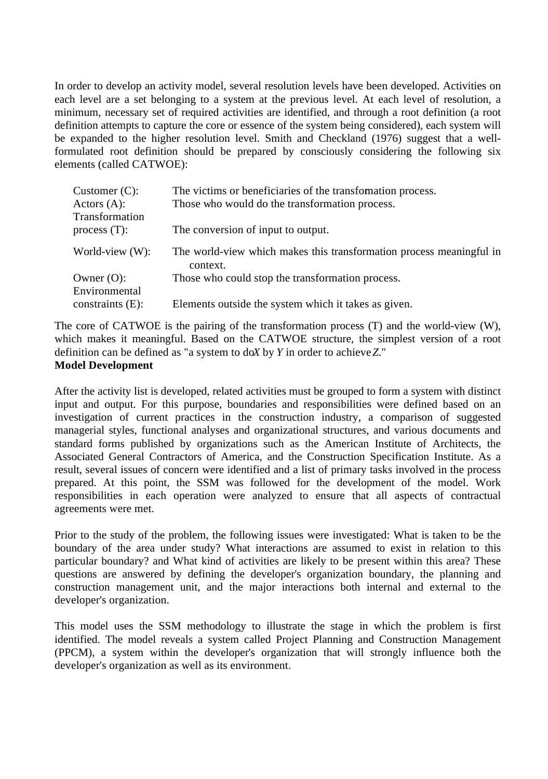In order to develop an activity model, several resolution levels have been developed. Activities on each level are a set belonging to a system at the previous level. At each level of resolution, a minimum, necessary set of required activities are identified, and through a root definition (a root definition attempts to capture the core or essence of the system being considered), each system will be expanded to the higher resolution level. Smith and Checkland (1976) suggest that a wellformulated root definition should be prepared by consciously considering the following six elements (called CATWOE):

| Customer $(C)$ :               | The victims or beneficiaries of the transformation process.                      |
|--------------------------------|----------------------------------------------------------------------------------|
| Actors (A):<br>Transformation  | Those who would do the transformation process.                                   |
| process $(T)$ :                | The conversion of input to output.                                               |
| World-view (W):                | The world-view which makes this transformation process meaningful in<br>context. |
| Owner $(O)$ :<br>Environmental | Those who could stop the transformation process.                                 |
| constraints (E):               | Elements outside the system which it takes as given.                             |
|                                |                                                                                  |

The core of CATWOE is the pairing of the transformation process (T) and the world-view (W), which makes it meaningful. Based on the CATWOE structure, the simplest version of a root definition can be defined as "a system to doX by  $Y$  in order to achieve  $Z$ ." **Model Development**

After the activity list is developed, related activities must be grouped to form a system with distinct input and output. For this purpose, boundaries and responsibilities were defined based on an investigation of current practices in the construction industry, a comparison of suggested managerial styles, functional analyses and organizational structures, and various documents and standard forms published by organizations such as the American Institute of Architects, the Associated General Contractors of America, and the Construction Specification Institute. As a result, several issues of concern were identified and a list of primary tasks involved in the process prepared. At this point, the SSM was followed for the development of the model. Work responsibilities in each operation were analyzed to ensure that all aspects of contractual agreements were met.

Prior to the study of the problem, the following issues were investigated: What is taken to be the boundary of the area under study? What interactions are assumed to exist in relation to this particular boundary? and What kind of activities are likely to be present within this area? These questions are answered by defining the developer's organization boundary, the planning and construction management unit, and the major interactions both internal and external to the developer's organization.

This model uses the SSM methodology to illustrate the stage in which the problem is first identified. The model reveals a system called Project Planning and Construction Management (PPCM), a system within the developer's organization that will strongly influence both the developer's organization as well as its environment.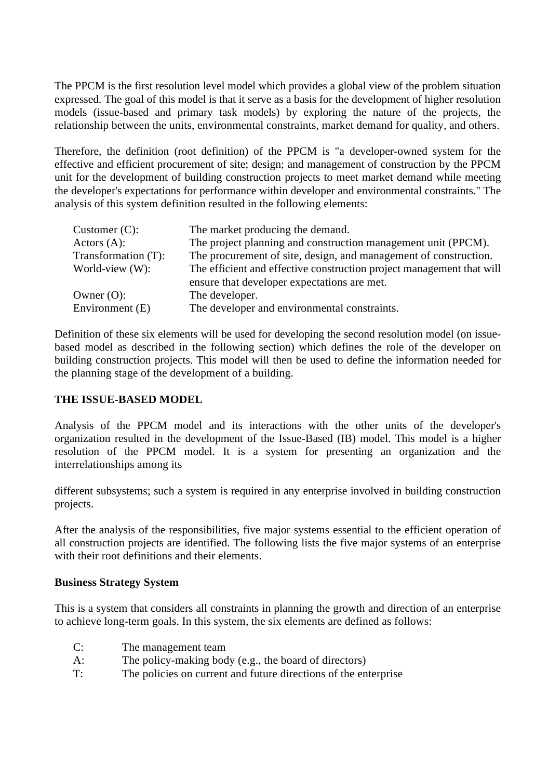The PPCM is the first resolution level model which provides a global view of the problem situation expressed. The goal of this model is that it serve as a basis for the development of higher resolution models (issue-based and primary task models) by exploring the nature of the projects, the relationship between the units, environmental constraints, market demand for quality, and others.

Therefore, the definition (root definition) of the PPCM is "a developer-owned system for the effective and efficient procurement of site; design; and management of construction by the PPCM unit for the development of building construction projects to meet market demand while meeting the developer's expectations for performance within developer and environmental constraints." The analysis of this system definition resulted in the following elements:

| Customer $(C)$ :    | The market producing the demand.                                      |
|---------------------|-----------------------------------------------------------------------|
| Actors $(A)$ :      | The project planning and construction management unit (PPCM).         |
| Transformation (T): | The procurement of site, design, and management of construction.      |
| World-view (W):     | The efficient and effective construction project management that will |
|                     | ensure that developer expectations are met.                           |
| Owner $(O)$ :       | The developer.                                                        |
| Environment (E)     | The developer and environmental constraints.                          |

Definition of these six elements will be used for developing the second resolution model (on issuebased model as described in the following section) which defines the role of the developer on building construction projects. This model will then be used to define the information needed for the planning stage of the development of a building.

### **THE ISSUE-BASED MODEL**

Analysis of the PPCM model and its interactions with the other units of the developer's organization resulted in the development of the Issue-Based (IB) model. This model is a higher resolution of the PPCM model. It is a system for presenting an organization and the interrelationships among its

different subsystems; such a system is required in any enterprise involved in building construction projects.

After the analysis of the responsibilities, five major systems essential to the efficient operation of all construction projects are identified. The following lists the five major systems of an enterprise with their root definitions and their elements.

#### **Business Strategy System**

This is a system that considers all constraints in planning the growth and direction of an enterprise to achieve long-term goals. In this system, the six elements are defined as follows:

- C: The management team
- A: The policy-making body (e.g., the board of directors)
- T: The policies on current and future directions of the enterprise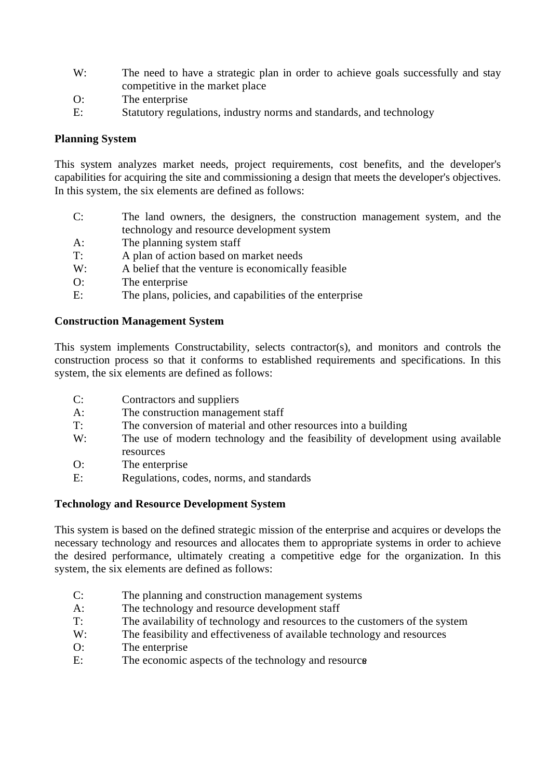- W: The need to have a strategic plan in order to achieve goals successfully and stay competitive in the market place
- O: The enterprise
- E: Statutory regulations, industry norms and standards, and technology

#### **Planning System**

This system analyzes market needs, project requirements, cost benefits, and the developer's capabilities for acquiring the site and commissioning a design that meets the developer's objectives. In this system, the six elements are defined as follows:

- C: The land owners, the designers, the construction management system, and the technology and resource development system
- A: The planning system staff
- T: A plan of action based on market needs
- W: A belief that the venture is economically feasible
- O: The enterprise
- E: The plans, policies, and capabilities of the enterprise

## **Construction Management System**

This system implements Constructability, selects contractor(s), and monitors and controls the construction process so that it conforms to established requirements and specifications. In this system, the six elements are defined as follows:

- C: Contractors and suppliers
- A: The construction management staff<br>The conversion of material and other
- The conversion of material and other resources into a building
- W: The use of modern technology and the feasibility of development using available resources
- O: The enterprise
- E: Regulations, codes, norms, and standards

#### **Technology and Resource Development System**

This system is based on the defined strategic mission of the enterprise and acquires or develops the necessary technology and resources and allocates them to appropriate systems in order to achieve the desired performance, ultimately creating a competitive edge for the organization. In this system, the six elements are defined as follows:

- C: The planning and construction management systems
- A: The technology and resource development staff
- T: The availability of technology and resources to the customers of the system
- W: The feasibility and effectiveness of available technology and resources
- O: The enterprise
- E: The economic aspects of the technology and resource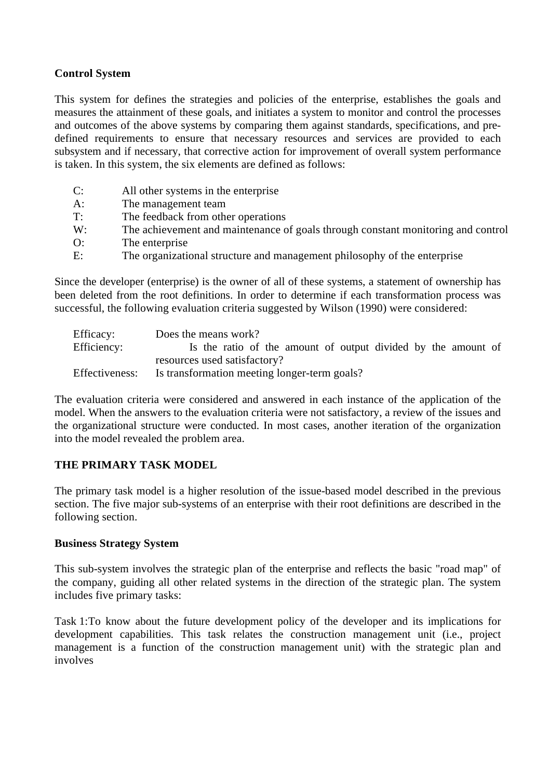### **Control System**

This system for defines the strategies and policies of the enterprise, establishes the goals and measures the attainment of these goals, and initiates a system to monitor and control the processes and outcomes of the above systems by comparing them against standards, specifications, and predefined requirements to ensure that necessary resources and services are provided to each subsystem and if necessary, that corrective action for improvement of overall system performance is taken. In this system, the six elements are defined as follows:

| C: | All other systems in the enterprise                                              |
|----|----------------------------------------------------------------------------------|
| A: | The management team                                                              |
| T: | The feedback from other operations                                               |
| W: | The achievement and maintenance of goals through constant monitoring and control |
| O: | The enterprise                                                                   |
| E: | The organizational structure and management philosophy of the enterprise         |

Since the developer (enterprise) is the owner of all of these systems, a statement of ownership has been deleted from the root definitions. In order to determine if each transformation process was successful, the following evaluation criteria suggested by Wilson (1990) were considered:

| Efficacy:      | Does the means work?                                          |  |
|----------------|---------------------------------------------------------------|--|
| Efficiency:    | Is the ratio of the amount of output divided by the amount of |  |
|                | resources used satisfactory?                                  |  |
| Effectiveness: | Is transformation meeting longer-term goals?                  |  |

The evaluation criteria were considered and answered in each instance of the application of the model. When the answers to the evaluation criteria were not satisfactory, a review of the issues and the organizational structure were conducted. In most cases, another iteration of the organization into the model revealed the problem area.

## **THE PRIMARY TASK MODEL**

The primary task model is a higher resolution of the issue-based model described in the previous section. The five major sub-systems of an enterprise with their root definitions are described in the following section.

#### **Business Strategy System**

This sub-system involves the strategic plan of the enterprise and reflects the basic "road map" of the company, guiding all other related systems in the direction of the strategic plan. The system includes five primary tasks:

Task 1:To know about the future development policy of the developer and its implications for development capabilities. This task relates the construction management unit (i.e., project management is a function of the construction management unit) with the strategic plan and involves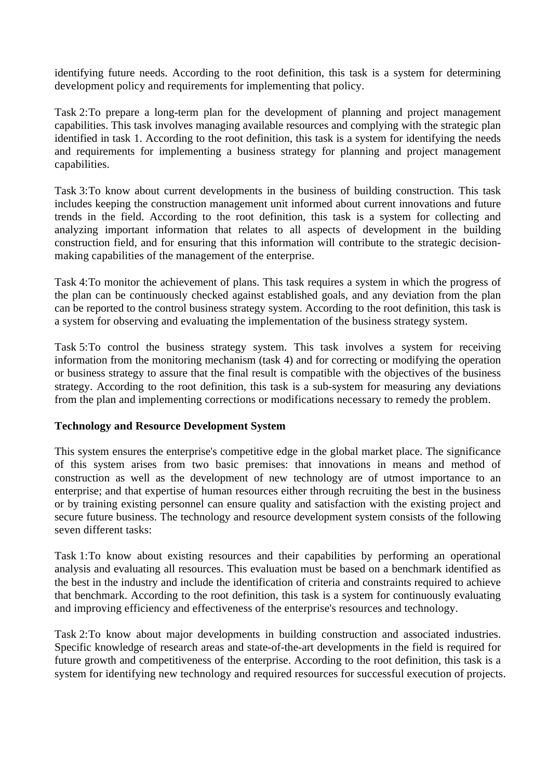identifying future needs. According to the root definition, this task is a system for determining development policy and requirements for implementing that policy.

Task 2:To prepare a long-term plan for the development of planning and project management capabilities. This task involves managing available resources and complying with the strategic plan identified in task 1. According to the root definition, this task is a system for identifying the needs and requirements for implementing a business strategy for planning and project management capabilities.

Task 3:To know about current developments in the business of building construction. This task includes keeping the construction management unit informed about current innovations and future trends in the field. According to the root definition, this task is a system for collecting and analyzing important information that relates to all aspects of development in the building construction field, and for ensuring that this information will contribute to the strategic decisionmaking capabilities of the management of the enterprise.

Task 4:To monitor the achievement of plans. This task requires a system in which the progress of the plan can be continuously checked against established goals, and any deviation from the plan can be reported to the control business strategy system. According to the root definition, this task is a system for observing and evaluating the implementation of the business strategy system.

Task 5:To control the business strategy system. This task involves a system for receiving information from the monitoring mechanism (task 4) and for correcting or modifying the operation or business strategy to assure that the final result is compatible with the objectives of the business strategy. According to the root definition, this task is a sub-system for measuring any deviations from the plan and implementing corrections or modifications necessary to remedy the problem.

### **Technology and Resource Development System**

This system ensures the enterprise's competitive edge in the global market place. The significance of this system arises from two basic premises: that innovations in means and method of construction as well as the development of new technology are of utmost importance to an enterprise; and that expertise of human resources either through recruiting the best in the business or by training existing personnel can ensure quality and satisfaction with the existing project and secure future business. The technology and resource development system consists of the following seven different tasks:

Task 1:To know about existing resources and their capabilities by performing an operational analysis and evaluating all resources. This evaluation must be based on a benchmark identified as the best in the industry and include the identification of criteria and constraints required to achieve that benchmark. According to the root definition, this task is a system for continuously evaluating and improving efficiency and effectiveness of the enterprise's resources and technology.

Task 2:To know about major developments in building construction and associated industries. Specific knowledge of research areas and state-of-the-art developments in the field is required for future growth and competitiveness of the enterprise. According to the root definition, this task is a system for identifying new technology and required resources for successful execution of projects.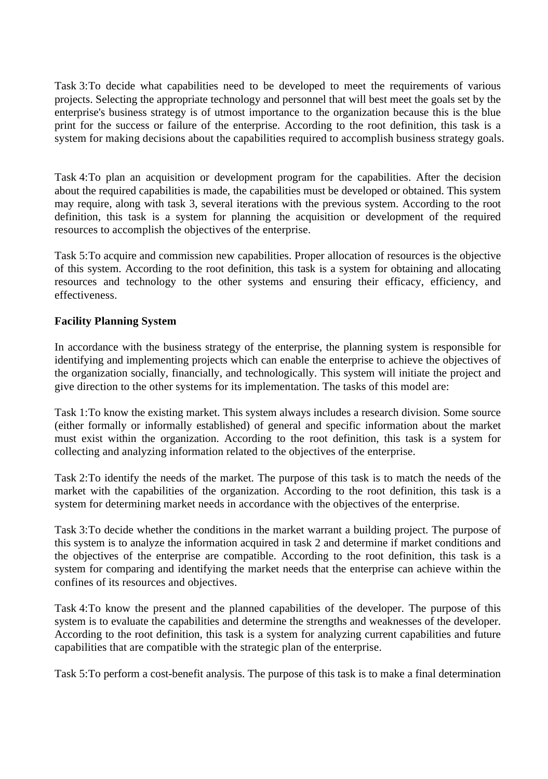Task 3:To decide what capabilities need to be developed to meet the requirements of various projects. Selecting the appropriate technology and personnel that will best meet the goals set by the enterprise's business strategy is of utmost importance to the organization because this is the blue print for the success or failure of the enterprise. According to the root definition, this task is a system for making decisions about the capabilities required to accomplish business strategy goals.

Task 4:To plan an acquisition or development program for the capabilities. After the decision about the required capabilities is made, the capabilities must be developed or obtained. This system may require, along with task 3, several iterations with the previous system. According to the root definition, this task is a system for planning the acquisition or development of the required resources to accomplish the objectives of the enterprise.

Task 5:To acquire and commission new capabilities. Proper allocation of resources is the objective of this system. According to the root definition, this task is a system for obtaining and allocating resources and technology to the other systems and ensuring their efficacy, efficiency, and effectiveness.

## **Facility Planning System**

In accordance with the business strategy of the enterprise, the planning system is responsible for identifying and implementing projects which can enable the enterprise to achieve the objectives of the organization socially, financially, and technologically. This system will initiate the project and give direction to the other systems for its implementation. The tasks of this model are:

Task 1:To know the existing market. This system always includes a research division. Some source (either formally or informally established) of general and specific information about the market must exist within the organization. According to the root definition, this task is a system for collecting and analyzing information related to the objectives of the enterprise.

Task 2:To identify the needs of the market. The purpose of this task is to match the needs of the market with the capabilities of the organization. According to the root definition, this task is a system for determining market needs in accordance with the objectives of the enterprise.

Task 3:To decide whether the conditions in the market warrant a building project. The purpose of this system is to analyze the information acquired in task 2 and determine if market conditions and the objectives of the enterprise are compatible. According to the root definition, this task is a system for comparing and identifying the market needs that the enterprise can achieve within the confines of its resources and objectives.

Task 4:To know the present and the planned capabilities of the developer. The purpose of this system is to evaluate the capabilities and determine the strengths and weaknesses of the developer. According to the root definition, this task is a system for analyzing current capabilities and future capabilities that are compatible with the strategic plan of the enterprise.

Task 5:To perform a cost-benefit analysis. The purpose of this task is to make a final determination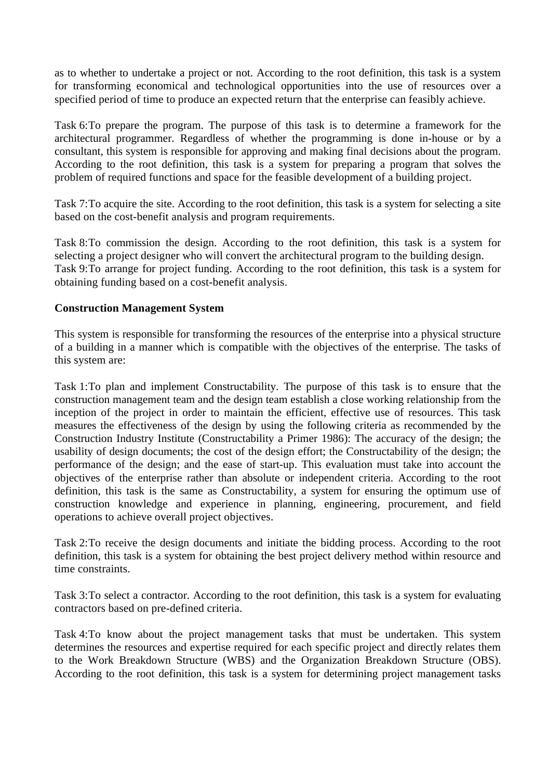as to whether to undertake a project or not. According to the root definition, this task is a system for transforming economical and technological opportunities into the use of resources over a specified period of time to produce an expected return that the enterprise can feasibly achieve.

Task 6:To prepare the program. The purpose of this task is to determine a framework for the architectural programmer. Regardless of whether the programming is done in-house or by a consultant, this system is responsible for approving and making final decisions about the program. According to the root definition, this task is a system for preparing a program that solves the problem of required functions and space for the feasible development of a building project.

Task 7:To acquire the site. According to the root definition, this task is a system for selecting a site based on the cost-benefit analysis and program requirements.

Task 8:To commission the design. According to the root definition, this task is a system for selecting a project designer who will convert the architectural program to the building design. Task 9:To arrange for project funding. According to the root definition, this task is a system for obtaining funding based on a cost-benefit analysis.

### **Construction Management System**

This system is responsible for transforming the resources of the enterprise into a physical structure of a building in a manner which is compatible with the objectives of the enterprise. The tasks of this system are:

Task 1:To plan and implement Constructability. The purpose of this task is to ensure that the construction management team and the design team establish a close working relationship from the inception of the project in order to maintain the efficient, effective use of resources. This task measures the effectiveness of the design by using the following criteria as recommended by the Construction Industry Institute (Constructability a Primer 1986): The accuracy of the design; the usability of design documents; the cost of the design effort; the Constructability of the design; the performance of the design; and the ease of start-up. This evaluation must take into account the objectives of the enterprise rather than absolute or independent criteria. According to the root definition, this task is the same as Constructability, a system for ensuring the optimum use of construction knowledge and experience in planning, engineering, procurement, and field operations to achieve overall project objectives.

Task 2:To receive the design documents and initiate the bidding process. According to the root definition, this task is a system for obtaining the best project delivery method within resource and time constraints.

Task 3:To select a contractor. According to the root definition, this task is a system for evaluating contractors based on pre-defined criteria.

Task 4:To know about the project management tasks that must be undertaken. This system determines the resources and expertise required for each specific project and directly relates them to the Work Breakdown Structure (WBS) and the Organization Breakdown Structure (OBS). According to the root definition, this task is a system for determining project management tasks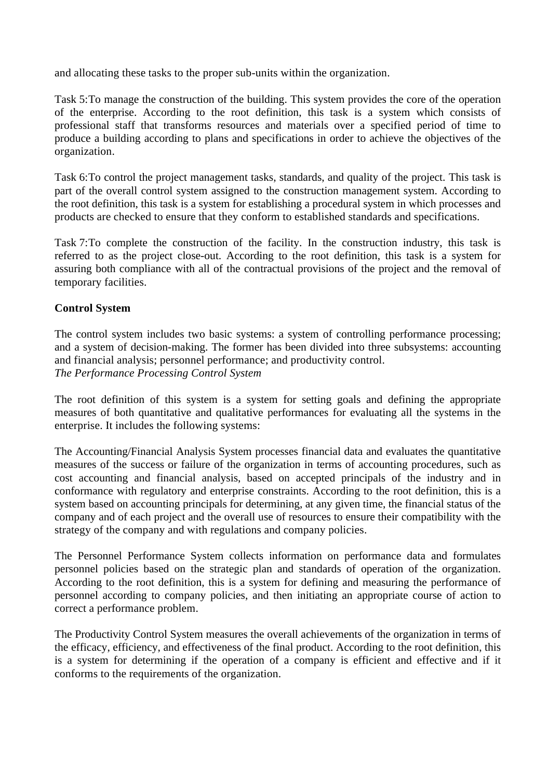and allocating these tasks to the proper sub-units within the organization.

Task 5:To manage the construction of the building. This system provides the core of the operation of the enterprise. According to the root definition, this task is a system which consists of professional staff that transforms resources and materials over a specified period of time to produce a building according to plans and specifications in order to achieve the objectives of the organization.

Task 6:To control the project management tasks, standards, and quality of the project. This task is part of the overall control system assigned to the construction management system. According to the root definition, this task is a system for establishing a procedural system in which processes and products are checked to ensure that they conform to established standards and specifications.

Task 7:To complete the construction of the facility. In the construction industry, this task is referred to as the project close-out. According to the root definition, this task is a system for assuring both compliance with all of the contractual provisions of the project and the removal of temporary facilities.

### **Control System**

The control system includes two basic systems: a system of controlling performance processing; and a system of decision-making. The former has been divided into three subsystems: accounting and financial analysis; personnel performance; and productivity control. *The Performance Processing Control System*

The root definition of this system is a system for setting goals and defining the appropriate measures of both quantitative and qualitative performances for evaluating all the systems in the enterprise. It includes the following systems:

The Accounting/Financial Analysis System processes financial data and evaluates the quantitative measures of the success or failure of the organization in terms of accounting procedures, such as cost accounting and financial analysis, based on accepted principals of the industry and in conformance with regulatory and enterprise constraints. According to the root definition, this is a system based on accounting principals for determining, at any given time, the financial status of the company and of each project and the overall use of resources to ensure their compatibility with the strategy of the company and with regulations and company policies.

The Personnel Performance System collects information on performance data and formulates personnel policies based on the strategic plan and standards of operation of the organization. According to the root definition, this is a system for defining and measuring the performance of personnel according to company policies, and then initiating an appropriate course of action to correct a performance problem.

The Productivity Control System measures the overall achievements of the organization in terms of the efficacy, efficiency, and effectiveness of the final product. According to the root definition, this is a system for determining if the operation of a company is efficient and effective and if it conforms to the requirements of the organization.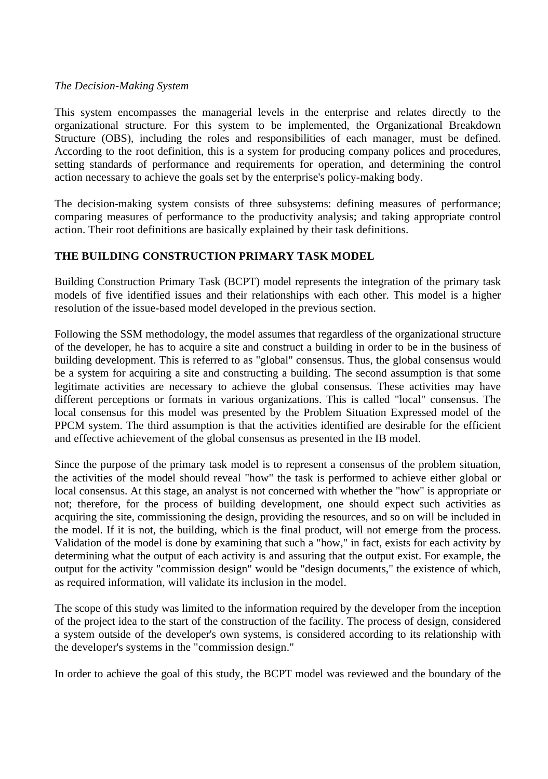#### *The Decision-Making System*

This system encompasses the managerial levels in the enterprise and relates directly to the organizational structure. For this system to be implemented, the Organizational Breakdown Structure (OBS), including the roles and responsibilities of each manager, must be defined. According to the root definition, this is a system for producing company polices and procedures, setting standards of performance and requirements for operation, and determining the control action necessary to achieve the goals set by the enterprise's policy-making body.

The decision-making system consists of three subsystems: defining measures of performance; comparing measures of performance to the productivity analysis; and taking appropriate control action. Their root definitions are basically explained by their task definitions.

### **THE BUILDING CONSTRUCTION PRIMARY TASK MODEL**

Building Construction Primary Task (BCPT) model represents the integration of the primary task models of five identified issues and their relationships with each other. This model is a higher resolution of the issue-based model developed in the previous section.

Following the SSM methodology, the model assumes that regardless of the organizational structure of the developer, he has to acquire a site and construct a building in order to be in the business of building development. This is referred to as "global" consensus. Thus, the global consensus would be a system for acquiring a site and constructing a building. The second assumption is that some legitimate activities are necessary to achieve the global consensus. These activities may have different perceptions or formats in various organizations. This is called "local" consensus. The local consensus for this model was presented by the Problem Situation Expressed model of the PPCM system. The third assumption is that the activities identified are desirable for the efficient and effective achievement of the global consensus as presented in the IB model.

Since the purpose of the primary task model is to represent a consensus of the problem situation, the activities of the model should reveal "how" the task is performed to achieve either global or local consensus. At this stage, an analyst is not concerned with whether the "how" is appropriate or not; therefore, for the process of building development, one should expect such activities as acquiring the site, commissioning the design, providing the resources, and so on will be included in the model. If it is not, the building, which is the final product, will not emerge from the process. Validation of the model is done by examining that such a "how," in fact, exists for each activity by determining what the output of each activity is and assuring that the output exist. For example, the output for the activity "commission design" would be "design documents," the existence of which, as required information, will validate its inclusion in the model.

The scope of this study was limited to the information required by the developer from the inception of the project idea to the start of the construction of the facility. The process of design, considered a system outside of the developer's own systems, is considered according to its relationship with the developer's systems in the "commission design."

In order to achieve the goal of this study, the BCPT model was reviewed and the boundary of the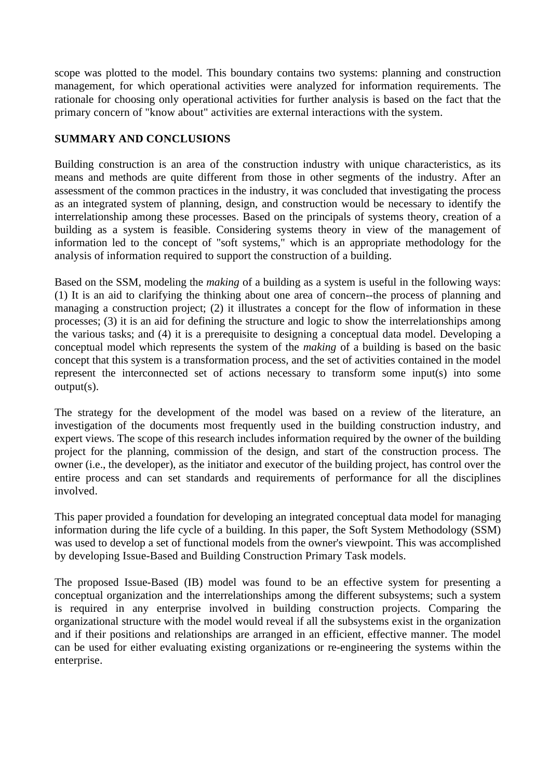scope was plotted to the model. This boundary contains two systems: planning and construction management, for which operational activities were analyzed for information requirements. The rationale for choosing only operational activities for further analysis is based on the fact that the primary concern of "know about" activities are external interactions with the system.

## **SUMMARY AND CONCLUSIONS**

Building construction is an area of the construction industry with unique characteristics, as its means and methods are quite different from those in other segments of the industry. After an assessment of the common practices in the industry, it was concluded that investigating the process as an integrated system of planning, design, and construction would be necessary to identify the interrelationship among these processes. Based on the principals of systems theory, creation of a building as a system is feasible. Considering systems theory in view of the management of information led to the concept of "soft systems," which is an appropriate methodology for the analysis of information required to support the construction of a building.

Based on the SSM, modeling the *making* of a building as a system is useful in the following ways: (1) It is an aid to clarifying the thinking about one area of concern--the process of planning and managing a construction project; (2) it illustrates a concept for the flow of information in these processes; (3) it is an aid for defining the structure and logic to show the interrelationships among the various tasks; and (4) it is a prerequisite to designing a conceptual data model. Developing a conceptual model which represents the system of the *making* of a building is based on the basic concept that this system is a transformation process, and the set of activities contained in the model represent the interconnected set of actions necessary to transform some input(s) into some output(s).

The strategy for the development of the model was based on a review of the literature, an investigation of the documents most frequently used in the building construction industry, and expert views. The scope of this research includes information required by the owner of the building project for the planning, commission of the design, and start of the construction process. The owner (i.e., the developer), as the initiator and executor of the building project, has control over the entire process and can set standards and requirements of performance for all the disciplines involved.

This paper provided a foundation for developing an integrated conceptual data model for managing information during the life cycle of a building. In this paper, the Soft System Methodology (SSM) was used to develop a set of functional models from the owner's viewpoint. This was accomplished by developing Issue-Based and Building Construction Primary Task models.

The proposed Issue-Based (IB) model was found to be an effective system for presenting a conceptual organization and the interrelationships among the different subsystems; such a system is required in any enterprise involved in building construction projects. Comparing the organizational structure with the model would reveal if all the subsystems exist in the organization and if their positions and relationships are arranged in an efficient, effective manner. The model can be used for either evaluating existing organizations or re-engineering the systems within the enterprise.